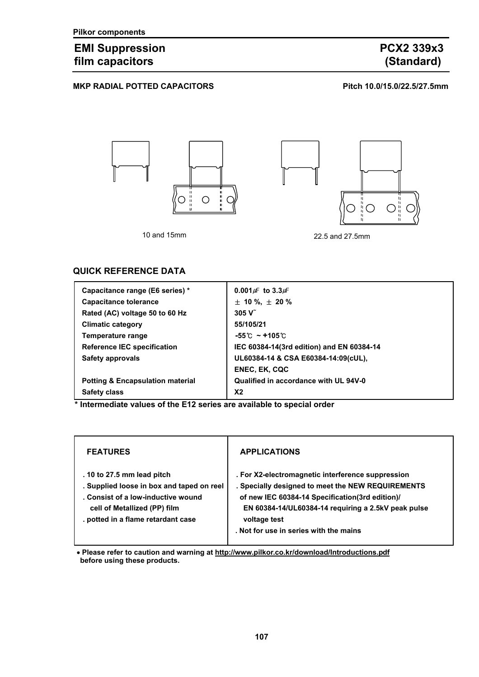## EMI Suppression **PCX2 339x3**<br>
film capacitors (Standard) film capacitors

### MKP RADIAL POTTED CAPACITORS **Pitch 10.0/15.0/22.5/27.5mm**



### **QUICK REFERENCE DATA**

| Capacitance range (E6 series) *             | $0.001 \mu$ to 3.3 $\mu$ F                |
|---------------------------------------------|-------------------------------------------|
| <b>Capacitance tolerance</b>                | $\pm$ 10 %, $\pm$ 20 %                    |
| Rated (AC) voltage 50 to 60 Hz              | 305V                                      |
| <b>Climatic category</b>                    | 55/105/21                                 |
| Temperature range                           | $-55^{\circ}$ ~ +105 $^{\circ}$ C         |
| <b>Reference IEC specification</b>          | IEC 60384-14(3rd edition) and EN 60384-14 |
| Safety approvals                            | UL60384-14 & CSA E60384-14:09(cUL),       |
|                                             | <b>ENEC, EK, CQC</b>                      |
| <b>Potting &amp; Encapsulation material</b> | Qualified in accordance with UL 94V-0     |
| <b>Safety class</b>                         | X <sub>2</sub>                            |

**\* Intermediate values of the E12 series are available to special order** 

| <b>FEATURES</b>                                                                                                                                                                     | <b>APPLICATIONS</b>                                                                                                                                                                                                                                                        |
|-------------------------------------------------------------------------------------------------------------------------------------------------------------------------------------|----------------------------------------------------------------------------------------------------------------------------------------------------------------------------------------------------------------------------------------------------------------------------|
| . 10 to 27.5 mm lead pitch<br>. Supplied loose in box and taped on reel<br>. Consist of a low-inductive wound<br>cell of Metallized (PP) film<br>. potted in a flame retardant case | . For X2-electromagnetic interference suppression<br>. Specially designed to meet the NEW REQUIREMENTS<br>of new IEC 60384-14 Specification(3rd edition)/<br>EN 60384-14/UL60384-14 requiring a 2.5kV peak pulse<br>voltage test<br>. Not for use in series with the mains |

• **Please refer to caution and warning at http://www.pilkor.co.kr/download/Introductions.pdf before using these products.**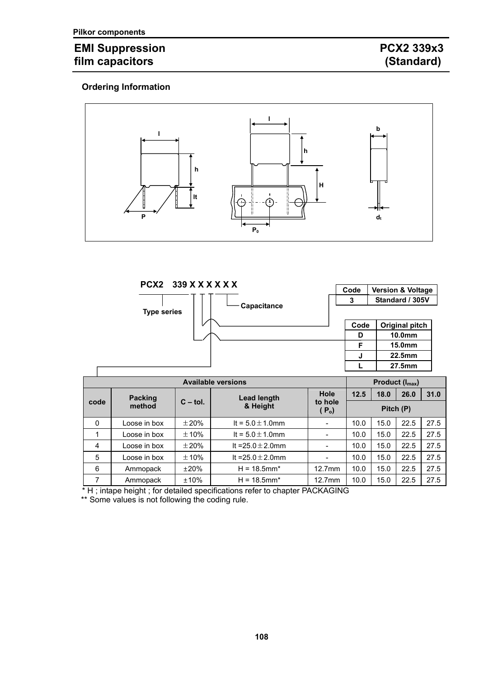# **EMI Suppression PCX2 339x3**<br> **film capacitors** (Standard) film capacitors

### **Ordering Information**



|                           |                    | PCX2 339 X X X X X X |                        |                              | Code |                             | <b>Version &amp; Voltage</b> |      |
|---------------------------|--------------------|----------------------|------------------------|------------------------------|------|-----------------------------|------------------------------|------|
|                           | <b>Type series</b> |                      | <b>Capacitance</b>     |                              | 3    |                             | Standard / 305V              |      |
|                           |                    |                      |                        |                              | Code |                             | Original pitch               |      |
|                           |                    |                      |                        |                              | D    |                             | 10.0 <sub>mm</sub>           |      |
|                           |                    |                      |                        |                              | F    |                             | 15.0 <sub>mm</sub>           |      |
|                           |                    |                      |                        |                              | J    |                             | 22.5mm                       |      |
|                           |                    |                      |                        |                              | L    |                             | 27.5mm                       |      |
| <b>Available versions</b> |                    |                      |                        |                              |      | Product (I <sub>max</sub> ) |                              |      |
|                           | <b>Packing</b>     |                      | <b>Lead length</b>     | Hole                         | 12.5 | 18.0                        | 26.0                         | 31.0 |
| code                      | method             | $C - tol.$           | & Height               | to hole<br>(P <sub>o</sub> ) |      |                             | Pitch (P)                    |      |
|                           |                    |                      |                        |                              |      |                             |                              |      |
| 0                         | Loose in box       | ±20%                 | It = $5.0 \pm 1.0$ mm  |                              | 10.0 | 15.0                        | 22.5                         | 27.5 |
| 1                         | Loose in box       | $\pm$ 10%            | It = $5.0 \pm 1.0$ mm  | $\overline{\phantom{0}}$     | 10.0 | 15.0                        | 22.5                         | 27.5 |
| 4                         | Loose in box       | ±20%                 | It = $25.0 \pm 2.0$ mm |                              | 10.0 | 15.0                        | 22.5                         | 27.5 |
| 5                         | Loose in box       | ±10%                 | It = $25.0 \pm 2.0$ mm |                              | 10.0 | 15.0                        | 22.5                         | 27.5 |

7 Ammopack ±10% H = 18.5mm\* 12.7mm 10.0 15.0 22.5 27.5

\* H ; intape height ; for detailed specifications refer to chapter PACKAGING

\*\* Some values is not following the coding rule.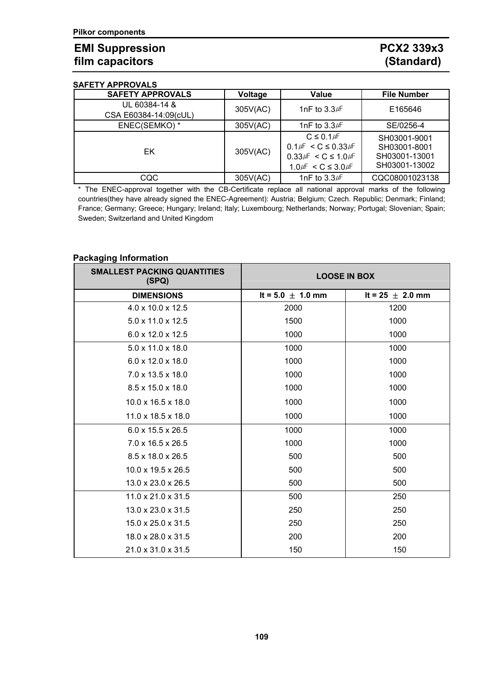## EMI Suppression **PCX2 339x3**<br>
film capacitors (Standard) film capacitors

#### **SAFETY APPROVALS**

| 981 L I I AL I I\YYALY  |          |                                 |                    |  |
|-------------------------|----------|---------------------------------|--------------------|--|
| <b>SAFETY APPROVALS</b> | Voltage  | <b>Value</b>                    | <b>File Number</b> |  |
| UL 60384-14 &           |          |                                 | E165646            |  |
| CSA E60384-14:09(cUL)   | 305V(AC) | 1nF to $3.3\text{\#}$           |                    |  |
| ENEC(SEMKO)*            | 305V(AC) | 1nF to $3.3\text{\#}$           | SE/0256-4          |  |
|                         |          | $C \leq 0.1 \mu F$              | SH03001-9001       |  |
| EK                      | 305V(AC) | $0.1\mu$ F < C $\leq 0.33\mu$ F | SH03001-8001       |  |
|                         |          | $0.33\mu$ F < C ≤ 1.0 $\mu$ F   | SH03001-13001      |  |
|                         |          | $1.0 \mu$ F < C ≤ 3.0 $\mu$ F   | SH03001-13002      |  |
| CQC                     | 305V(AC) | 1nF to $3.3\text{\#}$           | CQC08001023138     |  |

\* The ENEC-approval together with the CB-Certificate replace all national approval marks of the following countries(they have already signed the ENEC-Agreement): Austria; Belgium; Czech. Republic; Denmark; Finland; France; Germany; Greece; Hungary; Ireland; Italy; Luxembourg; Netherlands; Norway; Portugal; Slovenian; Spain; Sweden; Switzerland and United Kingdom

#### **Packaging Information**

| <b>SMALLEST PACKING QUANTITIES</b><br>(SPQ) | <b>LOOSE IN BOX</b>   |                      |  |
|---------------------------------------------|-----------------------|----------------------|--|
| <b>DIMENSIONS</b>                           | It = $5.0 \pm 1.0$ mm | It = 25 $\pm$ 2.0 mm |  |
| $4.0 \times 10.0 \times 12.5$               | 2000                  | 1200                 |  |
| $5.0 \times 11.0 \times 12.5$               | 1500                  | 1000                 |  |
| $6.0 \times 12.0 \times 12.5$               | 1000                  | 1000                 |  |
| 5.0 x 11.0 x 18.0                           | 1000                  | 1000                 |  |
| $6.0 \times 12.0 \times 18.0$               | 1000                  | 1000                 |  |
| 7.0 x 13.5 x 18.0                           | 1000                  | 1000                 |  |
| 8.5 x 15.0 x 18.0                           | 1000                  | 1000                 |  |
| $10.0 \times 16.5 \times 18.0$              | 1000                  | 1000                 |  |
| 11.0 x 18.5 x 18.0                          | 1000                  | 1000                 |  |
| $6.0 \times 15.5 \times 26.5$               | 1000                  | 1000                 |  |
| $7.0 \times 16.5 \times 26.5$               | 1000                  | 1000                 |  |
| 8.5 x 18.0 x 26.5                           | 500                   | 500                  |  |
| $10.0 \times 19.5 \times 26.5$              | 500                   | 500                  |  |
| $13.0 \times 23.0 \times 26.5$              | 500                   | 500                  |  |
| $11.0 \times 21.0 \times 31.5$              | 500                   | 250                  |  |
| 13.0 x 23.0 x 31.5                          | 250                   | 250                  |  |
| $15.0 \times 25.0 \times 31.5$              | 250                   | 250                  |  |
| 18.0 x 28.0 x 31.5                          | 200                   | 200                  |  |
| 21.0 x 31.0 x 31.5                          | 150                   | 150                  |  |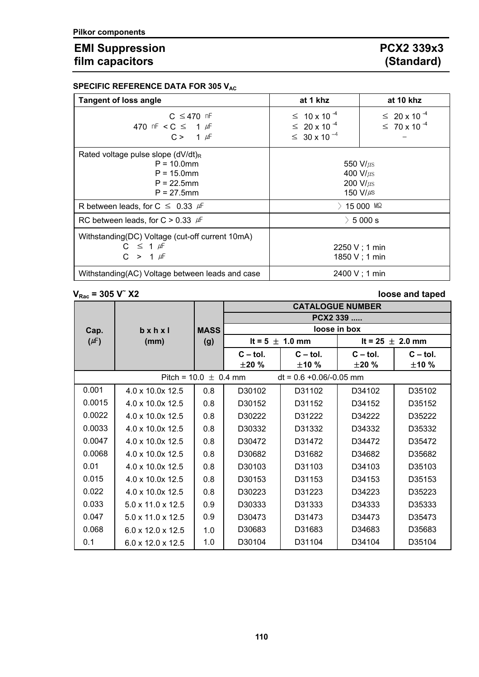# EMI Suppression **PCX2 339x3**<br> **FIMI Capacitors** (Standard) film capacitors

|  | SPECIFIC REFERENCE DATA FOR 305 $\mathsf{V}_{\mathsf{AC}}$ |  |  |  |  |  |  |
|--|------------------------------------------------------------|--|--|--|--|--|--|
|--|------------------------------------------------------------|--|--|--|--|--|--|

| <b>Tangent of loss angle</b>                                                                                | at 1 khz                                                                         | at 10 khz                                            |  |
|-------------------------------------------------------------------------------------------------------------|----------------------------------------------------------------------------------|------------------------------------------------------|--|
| $C \leq 470$ nF<br>470 nF < C $\leq$ 1 $\mu$ F<br>$C > 1 \mu F$                                             | $\leq 10 \times 10^{-4}$<br>$\leq 20 \times 10^{-4}$<br>$\leq 30 \times 10^{-4}$ | $\leq 20 \times 10^{-4}$<br>$\leq 70 \times 10^{-4}$ |  |
| Rated voltage pulse slope $(dV/dt)_{R}$<br>$P = 10.0$ mm<br>$P = 15.0$ mm<br>$P = 22.5$ mm<br>$P = 27.5$ mm | 550 $V/\mu s$<br>400 $V/\mu s$<br>200 $V/\mu s$<br>150 V/ $\mu$ s                |                                                      |  |
| R between leads, for $C \leq 0.33$ $\mu$ F                                                                  |                                                                                  | $>$ 15 000 MQ                                        |  |
| RC between leads, for C $> 0.33$ $\mu$ F                                                                    |                                                                                  | $\geq 5000$ s                                        |  |
| Withstanding(DC) Voltage (cut-off current 10mA)<br>$C \leq 1 \mu F$<br>$C > 1 \mu F$                        | $2250 V$ ; 1 min<br>1850 V ; 1 min                                               |                                                      |  |
| Withstanding(AC) Voltage between leads and case                                                             |                                                                                  | 2400 V; 1 min                                        |  |

**V**<sub>Rac</sub> = 305 **V**<sup> $\sim$ </sup> X2

### **X2 loose and taped**

|                    |                               |             | <b>CATALOGUE NUMBER</b> |                            |                      |            |  |
|--------------------|-------------------------------|-------------|-------------------------|----------------------------|----------------------|------------|--|
|                    |                               |             | PCX2 339                |                            |                      |            |  |
| Cap.               | $b \times h \times I$         | <b>MASS</b> |                         |                            | loose in box         |            |  |
| $(\mu \mathsf{F})$ | (mm)                          | (g)         |                         | It = $5 \pm 1.0$ mm        | It = 25 $\pm$ 2.0 mm |            |  |
|                    |                               |             | $C - tol.$              | $C - tol.$                 | $C - tol.$           | $C - tol.$ |  |
|                    |                               |             | ±20%                    | ±10%                       | ±20 %                | ±10%       |  |
|                    | Pitch = $10.0 \pm 0.4$ mm     |             |                         | $dt = 0.6 + 0.06/-0.05$ mm |                      |            |  |
| 0.001              | 4.0 x 10.0x 12.5              | 0.8         | D30102                  | D31102                     | D34102               | D35102     |  |
| 0.0015             | 4.0 x 10.0x 12.5              | 0.8         | D30152                  | D31152                     | D34152               | D35152     |  |
| 0.0022             | 4.0 x 10.0x 12.5              | 0.8         | D30222                  | D31222                     | D34222               | D35222     |  |
| 0.0033             | 4.0 x 10.0x 12.5              | 0.8         | D30332                  | D31332                     | D34332               | D35332     |  |
| 0.0047             | 4.0 x 10.0x 12.5              | 0.8         | D30472                  | D31472                     | D34472               | D35472     |  |
| 0.0068             | 4.0 x 10.0x 12.5              | 0.8         | D30682                  | D31682                     | D34682               | D35682     |  |
| 0.01               | 4.0 x 10.0x 12.5              | 0.8         | D30103                  | D31103                     | D34103               | D35103     |  |
| 0.015              | $4.0 \times 10.0 \times 12.5$ | 0.8         | D30153                  | D31153                     | D34153               | D35153     |  |
| 0.022              | 4.0 x 10.0x 12.5              | 0.8         | D30223                  | D31223                     | D34223               | D35223     |  |
| 0.033              | 5.0 x 11.0 x 12.5             | 0.9         | D30333                  | D31333                     | D34333               | D35333     |  |
| 0.047              | $5.0 \times 11.0 \times 12.5$ | 0.9         | D30473                  | D31473                     | D34473               | D35473     |  |
| 0.068              | 6.0 x 12.0 x 12.5             | 1.0         | D30683                  | D31683                     | D34683               | D35683     |  |
| 0.1                | $6.0 \times 12.0 \times 12.5$ | 1.0         | D30104                  | D31104                     | D34104               | D35104     |  |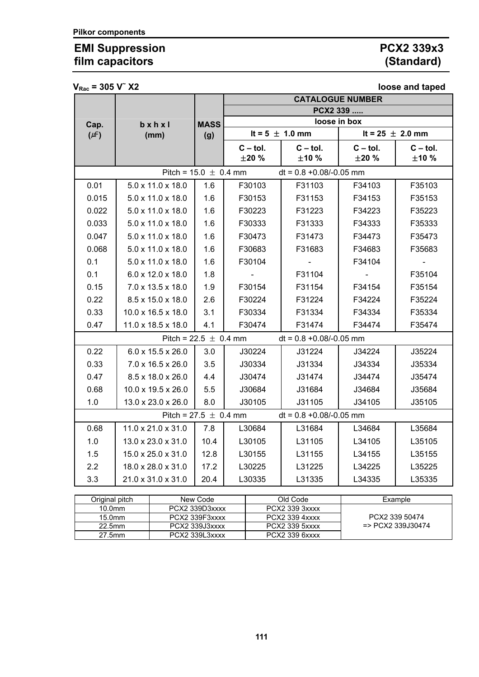# EMI Suppression **PCX2 339x3**<br> **FIMI Capacitors** (Standard) film capacitors

 $V_{\text{B}} = 305 \text{ V}^2 \text{ X}2$ 

| ▼ кас                                                   |                               |             | <b>IDOSC UITU tupuu</b><br><b>CATALOGUE NUMBER</b> |                            |                      |            |  |
|---------------------------------------------------------|-------------------------------|-------------|----------------------------------------------------|----------------------------|----------------------|------------|--|
|                                                         |                               |             | PCX2 339                                           |                            |                      |            |  |
| Cap.                                                    | $b \times h \times I$         | <b>MASS</b> | loose in box                                       |                            |                      |            |  |
| $(\mu \text{F})$                                        | (mm)                          | (g)         |                                                    | It = $5 \pm 1.0$ mm        | It = 25 $\pm$ 2.0 mm |            |  |
|                                                         |                               |             | $C - tol.$                                         | $C - tol.$                 | $C - tol.$           | $C - tol.$ |  |
|                                                         |                               |             | ±20%                                               | ±10%                       | ±20%                 | ±10%       |  |
| Pitch = $15.0 \pm 0.4$ mm<br>$dt = 0.8 + 0.08/-0.05$ mm |                               |             |                                                    |                            |                      |            |  |
| 0.01                                                    | $5.0 \times 11.0 \times 18.0$ | 1.6         | F30103                                             | F31103                     | F34103               | F35103     |  |
| 0.015                                                   | 5.0 x 11.0 x 18.0             | 1.6         | F30153                                             | F31153                     | F34153               | F35153     |  |
| 0.022                                                   | 5.0 x 11.0 x 18.0             | 1.6         | F30223                                             | F31223                     | F34223               | F35223     |  |
| 0.033                                                   | 5.0 x 11.0 x 18.0             | 1.6         | F30333                                             | F31333                     | F34333               | F35333     |  |
| 0.047                                                   | 5.0 x 11.0 x 18.0             | 1.6         | F30473                                             | F31473                     | F34473               | F35473     |  |
| 0.068                                                   | 5.0 x 11.0 x 18.0             | 1.6         | F30683                                             | F31683                     | F34683               | F35683     |  |
| 0.1                                                     | 5.0 x 11.0 x 18.0             | 1.6         | F30104                                             |                            | F34104               |            |  |
| 0.1                                                     | 6.0 x 12.0 x 18.0             | 1.8         |                                                    | F31104                     |                      | F35104     |  |
| 0.15                                                    | 7.0 x 13.5 x 18.0             | 1.9         | F30154                                             | F31154                     | F34154               | F35154     |  |
| 0.22                                                    | 8.5 x 15.0 x 18.0             | 2.6         | F30224                                             | F31224                     | F34224               | F35224     |  |
| 0.33                                                    | 10.0 x 16.5 x 18.0            | 3.1         | F30334                                             | F31334                     | F34334               | F35334     |  |
| 0.47                                                    | 11.0 x 18.5 x 18.0            | 4.1         | F30474                                             | F31474                     | F34474               | F35474     |  |
|                                                         | Pitch = $22.5 \pm 0.4$ mm     |             |                                                    | $dt = 0.8 + 0.08/-0.05$ mm |                      |            |  |
| 0.22                                                    | $6.0 \times 15.5 \times 26.0$ | 3.0         | J30224                                             | J31224                     | J34224               | J35224     |  |
| 0.33                                                    | 7.0 x 16.5 x 26.0             | 3.5         | J30334                                             | J31334                     | J34334               | J35334     |  |
| 0.47                                                    | 8.5 x 18.0 x 26.0             | 4.4         | J30474                                             | J31474                     | J34474               | J35474     |  |
| 0.68                                                    | 10.0 x 19.5 x 26.0            | 5.5         | J30684                                             | J31684                     | J34684               | J35684     |  |
| 1.0                                                     | 13.0 x 23.0 x 26.0            | 8.0         | J30105                                             | J31105                     | J34105               | J35105     |  |
| Pitch = $27.5 \pm 0.4$ mm<br>$dt = 0.8 + 0.08/-0.05$ mm |                               |             |                                                    |                            |                      |            |  |
| 0.68                                                    | 11.0 x 21.0 x 31.0            | 7.8         | L30684                                             | L31684                     | L34684               | L35684     |  |
| 1.0                                                     | 13.0 x 23.0 x 31.0            | 10.4        | L30105                                             | L31105                     | L34105               | L35105     |  |
| 1.5                                                     | 15.0 x 25.0 x 31.0            | 12.8        | L30155                                             | L31155                     | L34155               | L35155     |  |
| 2.2                                                     | 18.0 x 28.0 x 31.0            | 17.2        | L30225                                             | L31225                     | L34225               | L35225     |  |
| 3.3                                                     | 21.0 x 31.0 x 31.0            | 20.4        | L30335                                             | L31335                     | L34335               | L35335     |  |

| Original pitch     | New Code       | Old Code       | Example            |
|--------------------|----------------|----------------|--------------------|
| 10.0 <sub>mm</sub> | PCX2 339D3xxxx | PCX2 339 3xxxx |                    |
| 15.0 <sub>mm</sub> | PCX2 339F3xxxx | PCX2 339 4xxxx | PCX2 339 50474     |
| 22.5mm             | PCX2 339J3xxxx | PCX2 339 5xxxx | $=$ PCX2 339J30474 |
| 27.5mm             | PCX2 339L3xxxx | PCX2 339 6xxxx |                    |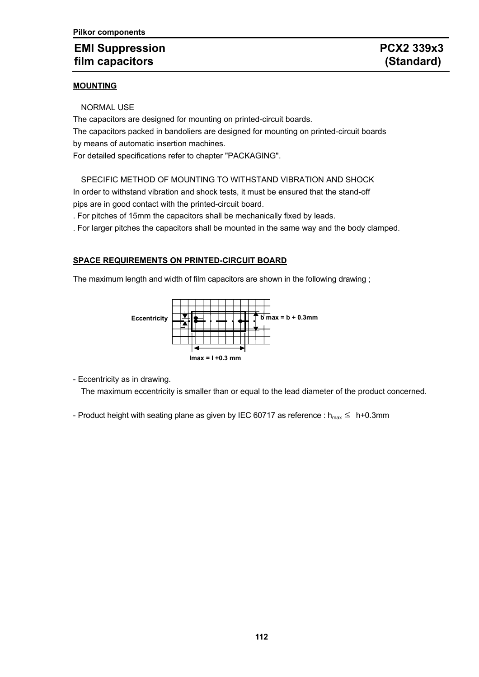## **EMI Suppression CONSUMING PCX2 339x3 film capacitors (Standard)**

The capacitors are designed for mounting on printed-circuit boards. The capacitors packed in bandoliers are designed for mounting on printed-circuit boards by means of automatic insertion machines.

For detailed specifications refer to chapter "PACKAGING".

SPECIFIC METHOD OF MOUNTING TO WITHSTAND VIBRATION AND SHOCK

In order to withstand vibration and shock tests, it must be ensured that the stand-off pips are in good contact with the printed-circuit board.

. For pitches of 15mm the capacitors shall be mechanically fixed by leads.

. For larger pitches the capacitors shall be mounted in the same way and the body clamped.

### **SPACE REQUIREMENTS ON PRINTED-CIRCUIT BOARD**

The maximum length and width of film capacitors are shown in the following drawing;



- Eccentricity as in drawing.

The maximum eccentricity is smaller than or equal to the lead diameter of the product concerned.

- Product height with seating plane as given by IEC 60717 as reference :  $h_{max} \leq h+0.3$ mm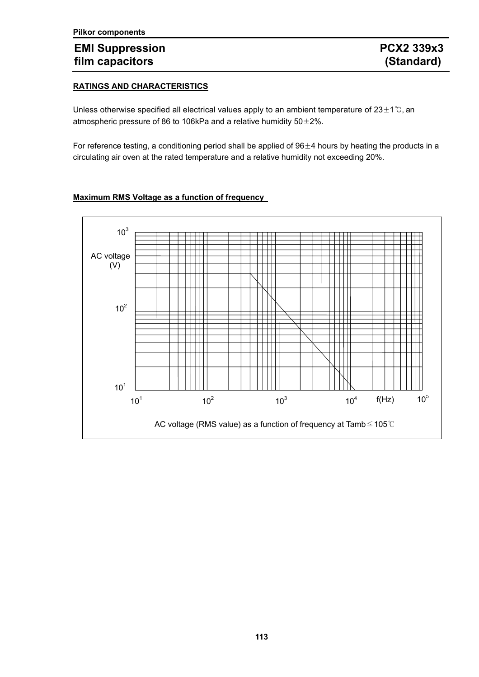## **EMI Suppression PCX2 339x3 film capacitors (Standard)**

### **RATINGS AND CHARACTERISTICS**

Unless otherwise specified all electrical values apply to an ambient temperature of  $23\pm1^\circ$ C, an atmospheric pressure of 86 to 106kPa and a relative humidity 50±2%.

For reference testing, a conditioning period shall be applied of  $96\pm4$  hours by heating the products in a circulating air oven at the rated temperature and a relative humidity not exceeding 20%.

### **Maximum RMS Voltage as a function of frequency**